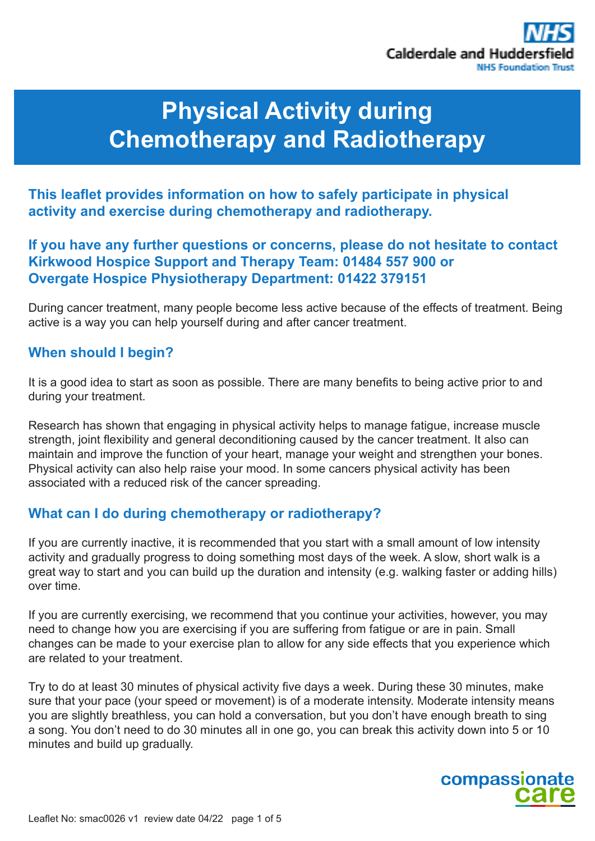

# **Physical Activity during Chemotherapy and Radiotherapy**

**This leaflet provides information on how to safely participate in physical activity and exercise during chemotherapy and radiotherapy.** 

## **If you have any further questions or concerns, please do not hesitate to contact Kirkwood Hospice Support and Therapy Team: 01484 557 900 or Overgate Hospice Physiotherapy Department: 01422 379151**

During cancer treatment, many people become less active because of the effects of treatment. Being active is a way you can help yourself during and after cancer treatment.

## **When should I begin?**

It is a good idea to start as soon as possible. There are many benefits to being active prior to and during your treatment.

Research has shown that engaging in physical activity helps to manage fatigue, increase muscle strength, joint flexibility and general deconditioning caused by the cancer treatment. It also can maintain and improve the function of your heart, manage your weight and strengthen your bones. Physical activity can also help raise your mood. In some cancers physical activity has been associated with a reduced risk of the cancer spreading.

## **What can I do during chemotherapy or radiotherapy?**

If you are currently inactive, it is recommended that you start with a small amount of low intensity activity and gradually progress to doing something most days of the week. A slow, short walk is a great way to start and you can build up the duration and intensity (e.g. walking faster or adding hills) over time.

If you are currently exercising, we recommend that you continue your activities, however, you may need to change how you are exercising if you are suffering from fatigue or are in pain. Small changes can be made to your exercise plan to allow for any side effects that you experience which are related to your treatment.

Try to do at least 30 minutes of physical activity five days a week. During these 30 minutes, make sure that your pace (your speed or movement) is of a moderate intensity. Moderate intensity means you are slightly breathless, you can hold a conversation, but you don't have enough breath to sing a song. You don't need to do 30 minutes all in one go, you can break this activity down into 5 or 10 minutes and build up gradually.

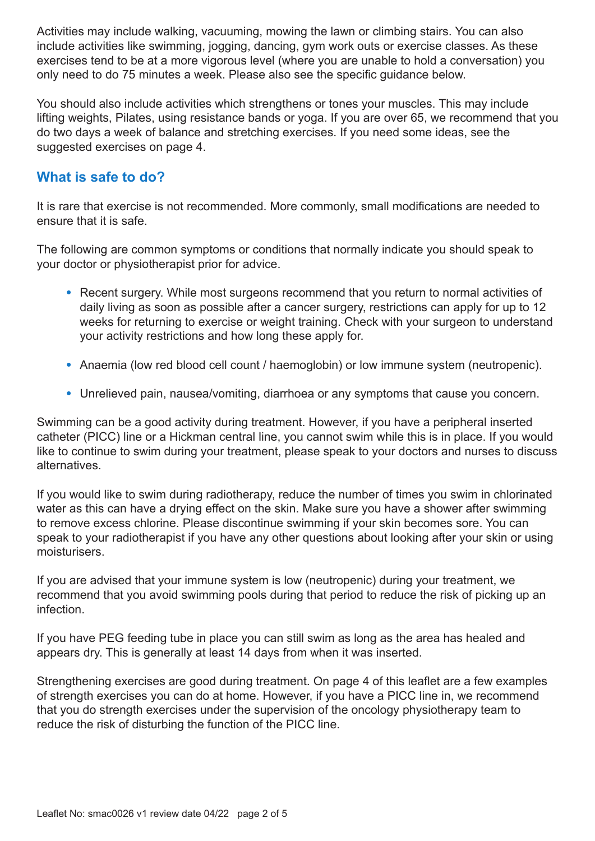Activities may include walking, vacuuming, mowing the lawn or climbing stairs. You can also include activities like swimming, jogging, dancing, gym work outs or exercise classes. As these exercises tend to be at a more vigorous level (where you are unable to hold a conversation) you only need to do 75 minutes a week. Please also see the specific guidance below.

You should also include activities which strengthens or tones your muscles. This may include lifting weights, Pilates, using resistance bands or yoga. If you are over 65, we recommend that you do two days a week of balance and stretching exercises. If you need some ideas, see the suggested exercises on page 4.

## **What is safe to do?**

It is rare that exercise is not recommended. More commonly, small modifications are needed to ensure that it is safe.

The following are common symptoms or conditions that normally indicate you should speak to your doctor or physiotherapist prior for advice.

- Recent surgery. While most surgeons recommend that you return to normal activities of daily living as soon as possible after a cancer surgery, restrictions can apply for up to 12 weeks for returning to exercise or weight training. Check with your surgeon to understand your activity restrictions and how long these apply for.
- Anaemia (low red blood cell count / haemoglobin) or low immune system (neutropenic).
- Unrelieved pain, nausea/vomiting, diarrhoea or any symptoms that cause you concern.

Swimming can be a good activity during treatment. However, if you have a peripheral inserted catheter (PICC) line or a Hickman central line, you cannot swim while this is in place. If you would like to continue to swim during your treatment, please speak to your doctors and nurses to discuss alternatives.

If you would like to swim during radiotherapy, reduce the number of times you swim in chlorinated water as this can have a drying effect on the skin. Make sure you have a shower after swimming to remove excess chlorine. Please discontinue swimming if your skin becomes sore. You can speak to your radiotherapist if you have any other questions about looking after your skin or using moisturisers.

If you are advised that your immune system is low (neutropenic) during your treatment, we recommend that you avoid swimming pools during that period to reduce the risk of picking up an infection.

If you have PEG feeding tube in place you can still swim as long as the area has healed and appears dry. This is generally at least 14 days from when it was inserted.

Strengthening exercises are good during treatment. On page 4 of this leaflet are a few examples of strength exercises you can do at home. However, if you have a PICC line in, we recommend that you do strength exercises under the supervision of the oncology physiotherapy team to reduce the risk of disturbing the function of the PICC line.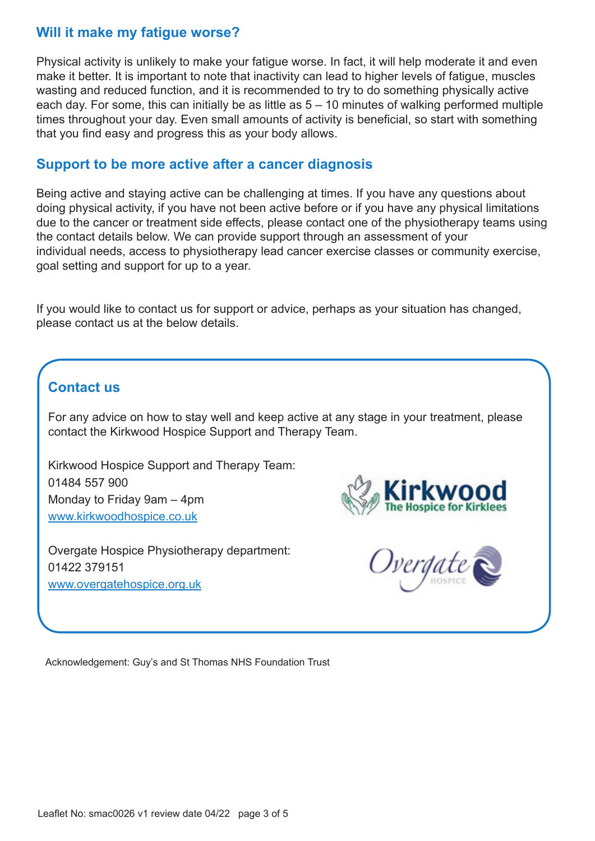## **Will it make my fatigue worse?**

Physical activity is unlikely to make your fatigue worse. In fact, it will help moderate it and even make it better. It is important to note that inactivity can lead to higher levels of fatigue, muscles wasting and reduced function, and it is recommended to try to do something physically active each day. For some, this can initially be as little as 5 – 10 minutes of walking performed multiple times throughout your day. Even small amounts of activity is beneficial, so start with something that you find easy and progress this as your body allows.

## **Support to be more active after a cancer diagnosis**

Being active and staying active can be challenging at times. If you have any questions about doing physical activity, if you have not been active before or if you have any physical limitations due to the cancer or treatment side effects, please contact one of the physiotherapy teams using the contact details below. We can provide support through an assessment of your individual needs, access to physiotherapy lead cancer exercise classes or community exercise, goal setting and support for up to a year.

If you would like to contact us for support or advice, perhaps as your situation has changed, please contact us at the below details.

# **Contact us**

For any advice on how to stay well and keep active at any stage in your treatment, please contact the Kirkwood Hospice Support and Therapy Team.

Kirkwood Hospice Support and Therapy Team: 01484 557 900 Monday to Friday 9am – 4pm www.kirkwoodhospice.co.uk

Overgate Hospice Physiotherapy department: 01422 379151 www.overgatehospice.org.uk





Acknowledgement: Guy's and St Thomas NHS Foundation Trust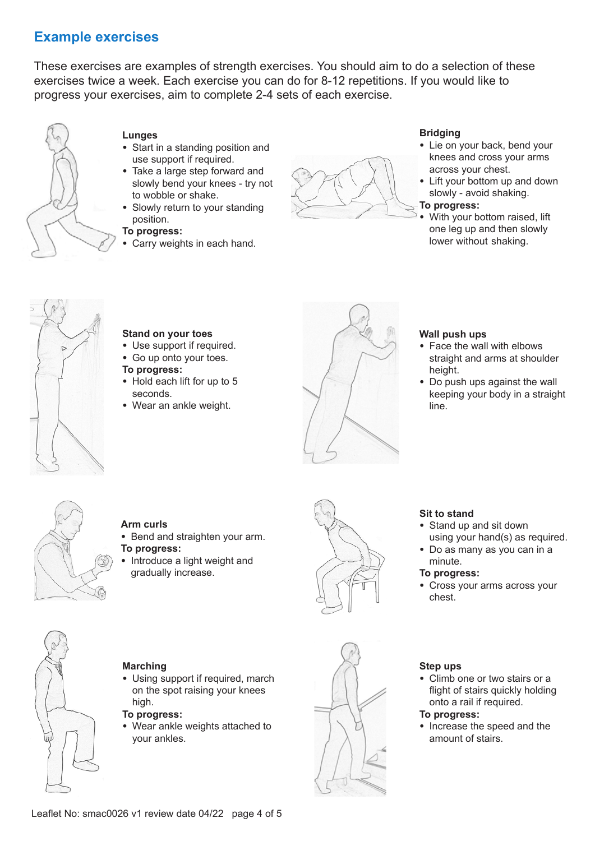# **Example exercises**

These exercises are examples of strength exercises. You should aim to do a selection of these exercises twice a week. Each exercise you can do for 8-12 repetitions. If you would like to progress your exercises, aim to complete 2-4 sets of each exercise.



## **Lunges**

- Start in a standing position and use support if required.
- Take a large step forward and slowly bend your knees - try not to wobble or shake.
- Slowly return to your standing position.

#### **To progress:**

• Carry weights in each hand.



### **Bridging**

- Lie on your back, bend your knees and cross your arms across your chest.
- Lift your bottom up and down slowly - avoid shaking.

#### **To progress:**

• With your bottom raised, lift one leg up and then slowly lower without shaking.



## **Stand on your toes**

- Use support if required.
- Go up onto your toes.

#### **To progress:**

- Hold each lift for up to 5 seconds.
- Wear an ankle weight.



#### **Wall push ups**

- Face the wall with elbows straight and arms at shoulder height.
- Do push ups against the wall keeping your body in a straight line.



## **Arm curls**

- Bend and straighten your arm. **To progress:**
- Introduce a light weight and gradually increase.



## **Sit to stand**

- Stand up and sit down using your hand(s) as required.
- Do as many as you can in a minute.

#### **To progress:**

• Cross your arms across your chest.



#### **Marching**

• Using support if required, march on the spot raising your knees high.

#### **To progress:**

• Wear ankle weights attached to your ankles.



## **Step ups**

• Climb one or two stairs or a flight of stairs quickly holding onto a rail if required.

## **To progress:**

• Increase the speed and the amount of stairs.